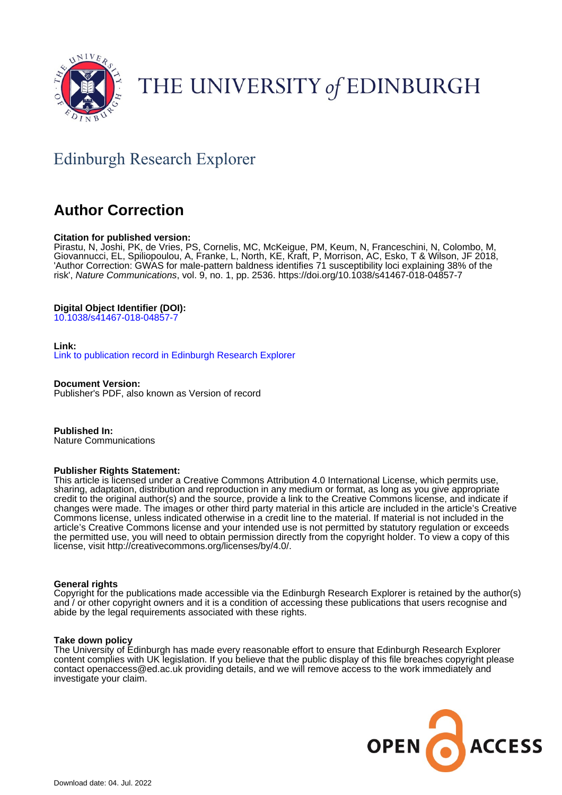

# THE UNIVERSITY of EDINBURGH

## Edinburgh Research Explorer

### **Author Correction**

#### **Citation for published version:**

Pirastu, N, Joshi, PK, de Vries, PS, Cornelis, MC, McKeigue, PM, Keum, N, Franceschini, N, Colombo, M, Giovannucci, EL, Spiliopoulou, A, Franke, L, North, KE, Kraft, P, Morrison, AC, Esko, T & Wilson, JF 2018, 'Author Correction: GWAS for male-pattern baldness identifies 71 susceptibility loci explaining 38% of the risk', Nature Communications, vol. 9, no. 1, pp. 2536. <https://doi.org/10.1038/s41467-018-04857-7>

#### **Digital Object Identifier (DOI):**

[10.1038/s41467-018-04857-7](https://doi.org/10.1038/s41467-018-04857-7)

#### **Link:**

[Link to publication record in Edinburgh Research Explorer](https://www.research.ed.ac.uk/en/publications/215f608b-a331-46d6-b917-8dee602158c0)

**Document Version:** Publisher's PDF, also known as Version of record

**Published In:** Nature Communications

#### **Publisher Rights Statement:**

This article is licensed under a Creative Commons Attribution 4.0 International License, which permits use, sharing, adaptation, distribution and reproduction in any medium or format, as long as you give appropriate credit to the original author(s) and the source, provide a link to the Creative Commons license, and indicate if changes were made. The images or other third party material in this article are included in the article's Creative Commons license, unless indicated otherwise in a credit line to the material. If material is not included in the article's Creative Commons license and your intended use is not permitted by statutory regulation or exceeds the permitted use, you will need to obtain permission directly from the copyright holder. To view a copy of this license, visit http://creativecommons.org/licenses/by/4.0/.

#### **General rights**

Copyright for the publications made accessible via the Edinburgh Research Explorer is retained by the author(s) and / or other copyright owners and it is a condition of accessing these publications that users recognise and abide by the legal requirements associated with these rights.

#### **Take down policy**

The University of Edinburgh has made every reasonable effort to ensure that Edinburgh Research Explorer content complies with UK legislation. If you believe that the public display of this file breaches copyright please contact openaccess@ed.ac.uk providing details, and we will remove access to the work immediately and investigate your claim.